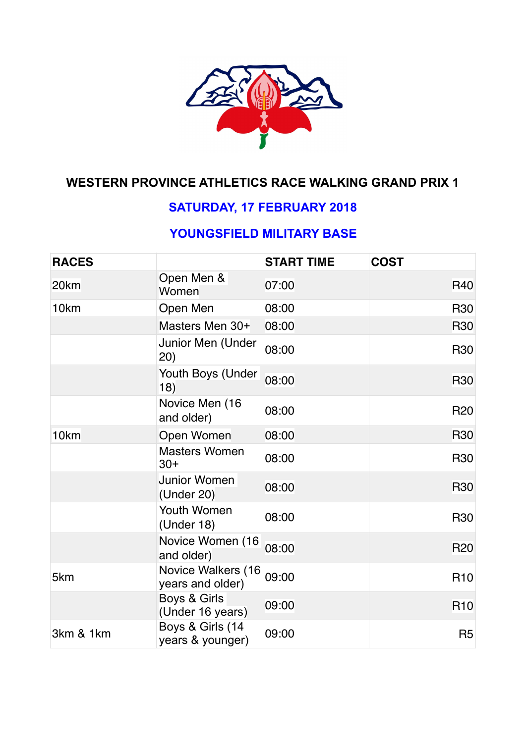

# **WESTERN PROVINCE ATHLETICS RACE WALKING GRAND PRIX 1**

## **SATURDAY, 17 FEBRUARY 2018**

## **YOUNGSFIELD MILITARY BASE**

| <b>RACES</b>     |                                        | <b>START TIME</b> | <b>COST</b>    |
|------------------|----------------------------------------|-------------------|----------------|
| 20 <sub>km</sub> | Open Men &<br>Women                    | 07:00             | <b>R40</b>     |
| 10km             | Open Men                               | 08:00             | <b>R30</b>     |
|                  | Masters Men 30+                        | 08:00             | <b>R30</b>     |
|                  | Junior Men (Under<br>(20)              | 08:00             | <b>R30</b>     |
|                  | Youth Boys (Under<br>18)               | 08:00             | <b>R30</b>     |
|                  | Novice Men (16<br>and older)           | 08:00             | <b>R20</b>     |
| 10 <sub>km</sub> | Open Women                             | 08:00             | <b>R30</b>     |
|                  | <b>Masters Women</b><br>$30+$          | 08:00             | <b>R30</b>     |
|                  | Junior Women<br>(Under 20)             | 08:00             | <b>R30</b>     |
|                  | Youth Women<br>(Under 18)              | 08:00             | <b>R30</b>     |
|                  | Novice Women (16<br>and older)         | 08:00             | <b>R20</b>     |
| 5km              | Novice Walkers (16<br>years and older) | 09:00             | <b>R10</b>     |
|                  | Boys & Girls<br>(Under 16 years)       | 09:00             | <b>R10</b>     |
| 3km & 1km        | Boys & Girls (14<br>years & younger)   | 09:00             | R <sub>5</sub> |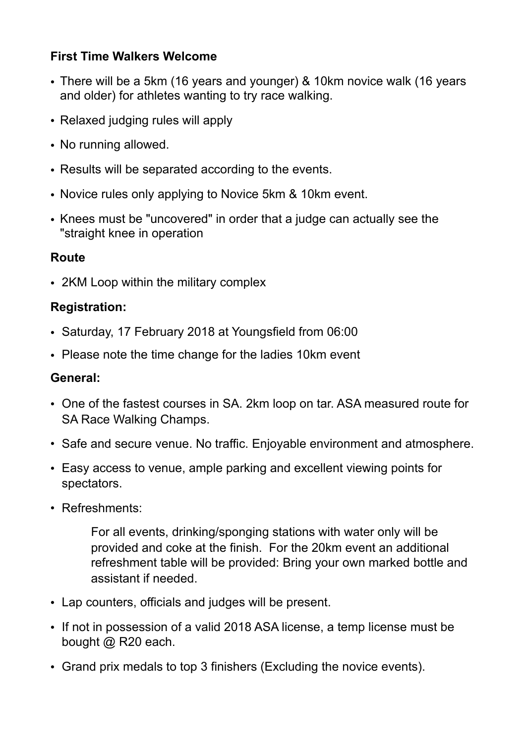## **First Time Walkers Welcome**

- There will be a 5km (16 years and younger) & 10km novice walk (16 years and older) for athletes wanting to try race walking.
- Relaxed judging rules will apply
- No running allowed.
- Results will be separated according to the events.
- Novice rules only applying to Novice 5km & 10km event.
- Knees must be "uncovered" in order that a judge can actually see the "straight knee in operation

### **Route**

• 2KM Loop within the military complex

### **Registration:**

- Saturday, 17 February 2018 at Youngsfield from 06:00
- Please note the time change for the ladies 10km event

#### **General:**

- One of the fastest courses in SA. 2km loop on tar. ASA measured route for SA Race Walking Champs.
- Safe and secure venue. No traffic. Enjoyable environment and atmosphere.
- Easy access to venue, ample parking and excellent viewing points for spectators.
- Refreshments:

For all events, drinking/sponging stations with water only will be provided and coke at the finish. For the 20km event an additional refreshment table will be provided: Bring your own marked bottle and assistant if needed.

- Lap counters, officials and judges will be present.
- If not in possession of a valid 2018 ASA license, a temp license must be bought @ R20 each.
- Grand prix medals to top 3 finishers (Excluding the novice events).